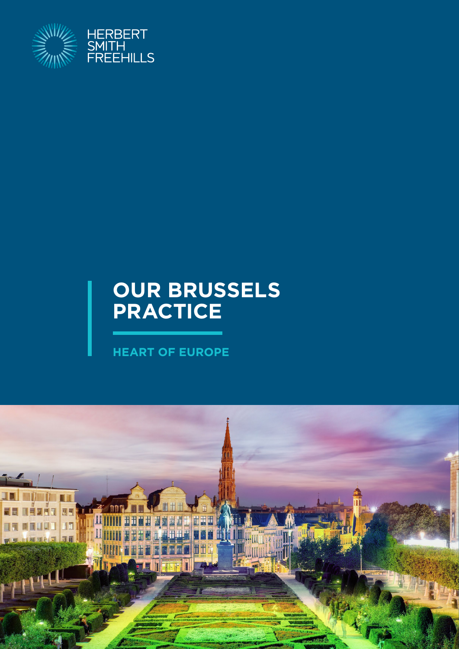

## **OUR BRUSSELS PRACTICE**

**HEART OF EUROPE**

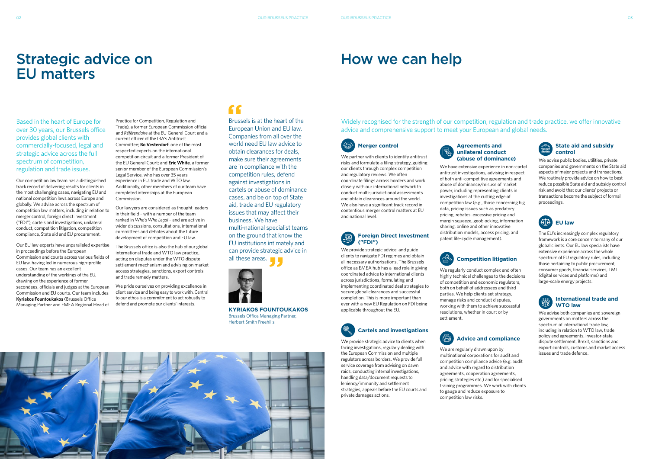### Strategic advice on EU matters

Based in the heart of Europe for over 30 years, our Brussels office provides global clients with commercially-focused, legal and strategic advice across the full spectrum of competition, regulation and trade issues.

Our competition law team has a distinguished track record of delivering results for clients in the most challenging cases, navigating EU and national competition laws across Europe and globally. We advise across the spectrum of competition law matters, including in relation to merger control, foreign direct investment ("FDI"), cartels and investigations, unilateral conduct, competition litigation, competition compliance, State aid and EU procurement.

Our EU law experts have unparalleled expertise in proceedings before the European Commission and courts across various fields of EU law, having led in numerous high-profile cases. Our team has an excellent understanding of the workings of the EU, drawing on the experience of former secondees, officials and judges at the European Commission and EU courts. Our team includes **Kyriakos Fountoukakos** (Brussels Office Managing Partner and EMEA Regional Head of

Practice for Competition, Regulation and Trade), a former European Commission official and *Référendaire* at the EU General Court and a current officer of the IBA's Antitrust Committee; **Bo Vesterdorf**, one of the most respected experts on the international competition circuit and a former President of the EU General Court; and **Eric White**, a former senior member of the European Commission's Legal Service, who has over 35 years' experience in EU, trade and WTO law. Additionally, other members of our team have completed internships at the European Commission.

Our lawyers are considered as thought leaders in their field – with a number of the team ranked in *Who's Who Legal* – and are active in wider discussions, consultations, international committees and debates about the future development of competition and EU law.

The Brussels office is also the hub of our global international trade and WTO law practice, acting on disputes under the WTO dispute settlement mechanism and advising on market access strategies, sanctions, export controls and trade remedy matters.

We pride ourselves on providing excellence in client service and being easy to work with. Central to our ethos is a commitment to act robustly to defend and promote our clients' interests.

### $\epsilon$

### How we can help

### Widely recognised for the strength of our competition, regulation and trade practice, we offer innovative advice and comprehensive support to meet your European and global needs.



# We partner with clients to identify antitrust

our clients through complex competition and regulatory reviews. We often

We advise public bodies, utilities, private companies and governments on the State aid aspects of major projects and transactions. We routinely provide advice on how to best reduce possible State aid and subsidy control risk and avoid that our clients' projects or transactions become the subject of formal proceedings.

closely with our international network to

and obtain clearances around the world. We also have a significant track record in contentious merger control matters at EU

and national level.

**Foreign Direct Investment** 

**("FDI")**

Brussels is at the heart of the European Union and EU law. Companies from all over the world need EU law advice to obtain clearances for deals, make sure their agreements are in compliance with the competition rules, defend against investigations in cartels or abuse of dominance cases, and be on top of State aid, trade and EU regulatory issues that may affect their business. We have multi-national specialist teams on the ground that know the EU institutions intimately and can provide strategic advice in all these areas.



We provide strategic advice and guide clients to navigate FDI regimes and obtain all necessary authorisations. The Brussels office as EMEA hub has a lead role in giving coordinated advice to international clients across jurisdictions, formulating and implementing coordinated deal strategies to secure global clearances and successful completion. This is more important than ever with a new EU Regulation on FDI being

risks and formulate a filing strategy, guiding coordinate filings across borders and work conduct multi-jurisdictional assessments **(abuse of dominance)**  We have extensive experience in non-cartel antitrust investigations, advising in respect of both anti-competitive agreements and abuse of dominance/misuse of market power, including representing clients in

applicable throughout the EU.

**Cartels and investigations**

We provide strategic advice to clients when



### **Agreements and unilateral conduct**

investigations at the cutting edge of

competition law (e.g., those concerning big data, pricing issues such as predatory pricing, rebates, excessive pricing and margin squeeze, geoblocking, information sharing, online and other innovative distribution models, access pricing, and patent life-cycle management).



We regularly conduct complex and often highly technical challenges to the decisions of competition and economic regulators, both on behalf of addressees and third parties. We help clients set strategy, manage risks and conduct disputes, working with them to achieve successful resolutions, whether in court or by settlement.



We are regularly drawn upon by multinational corporations for audit and competition compliance advice (e.g. audit and advice with regard to distribution agreements, cooperation agreements, pricing strategies etc.) and for specialised training programmes. We work with clients to gauge and reduce exposure to competition law risks.

### **State aid and subsidy**  e de la produit<br>Certai **control**



The EU's increasingly complex regulatory framework is a core concern to many of our global clients. Our EU law specialists have extensive experience across the whole spectrum of EU regulatory rules, including those pertaining to public procurement, consumer goods, financial services, TMT (digital services and platforms) and large-scale energy projects.



### **International trade and WTO law**

We advise both companies and sovereign governments on matters across the spectrum of international trade law, including in relation to WTO law, trade policy and agreements, investor-state dispute settlement, Brexit, sanctions and export controls, customs and market access issues and trade defence.

**KYRIAKOS FOUNTOUKAKOS** Brussels Office Managing Partner, Herbert Smith Freehills